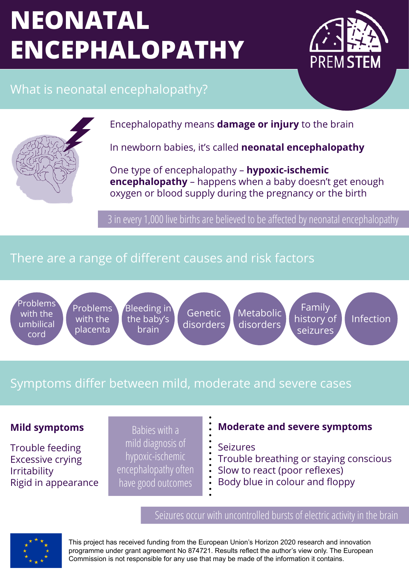# **NEONATAL ENCEPHALOPATHY**



# What is neonatal encephalopathy?



Encephalopathy means **damage or injury** to the brain

In newborn babies, it's called **neonatal encephalopathy**

One type of encephalopathy – **hypoxic-ischemic encephalopathy** – happens when a baby doesn't get enough oxygen or blood supply during the pregnancy or the birth

3 in every 1,000 live births are believed to be affected by neonatal encephalopathy

### There are a range of different causes and risk factors

Problems with the umbilical cord

Problems with the placenta

Bleeding in the baby's brain

Genetic disorders

Metabolic disorders

Family history of seizures

Infection

# Symptoms differ between mild, moderate and severe cases

Trouble feeding Excessive crying Irritability Rigid in appearance

Babies with a mild diagnosis of hypoxic-ischemic encephalopathy often have good outcomes

### **Mild symptoms Moderate and severe symptoms**

Seizures

- Trouble breathing or staying conscious
- Slow to react (poor reflexes)
- Body blue in colour and floppy

Seizures occur with uncontrolled bursts of electric activity in the brain



This project has received funding from the European Union's Horizon 2020 research and innovation programme under grant agreement No 874721. Results reflect the author's view only. The European Commission is not responsible for any use that may be made of the information it contains.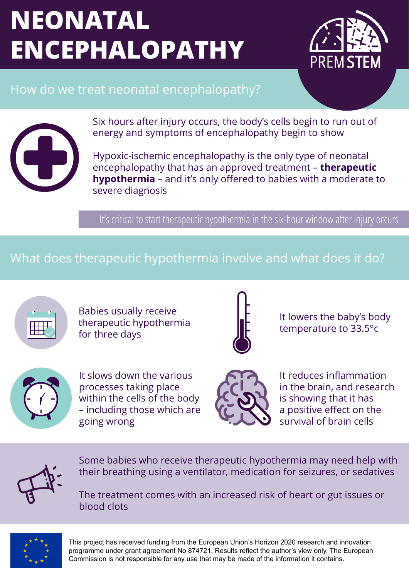# **NEONATAL ENCEPHALOPATHY**



## How do we treat neonatal encephalopathy?



Six hours after injury occurs, the body's cells begin to run out of energy and symptoms of encephalopathy begin to show

Hypoxic-ischemic encephalopathy is the only type of neonatal encephalopathy that has an approved treatment – **therapeutic hypothermia** – and it's only offered to babies with a moderate to severe diagnosis

It's critical to start therapeutic hypothermia in the six-hour window after injury occurs

### What does therapeutic hypothermia involve and what does it do?



Babies usually receive therapeutic hypothermia for three days



It lowers the baby's body temperature to 33.5°c



It slows down the various processes taking place within the cells of the body – including those which are going wrong



It reduces inflammation in the brain, and research is showing that it has a positive effect on the survival of brain cells



Some babies who receive therapeutic hypothermia may need help with their breathing using a ventilator, medication for seizures, or sedatives

The treatment comes with an increased risk of heart or gut issues or blood clots



This project has received funding from the European Union's Horizon 2020 research and innovation programme under grant agreement No 874721. Results reflect the author's view only. The European Commission is not responsible for any use that may be made of the information it contains.